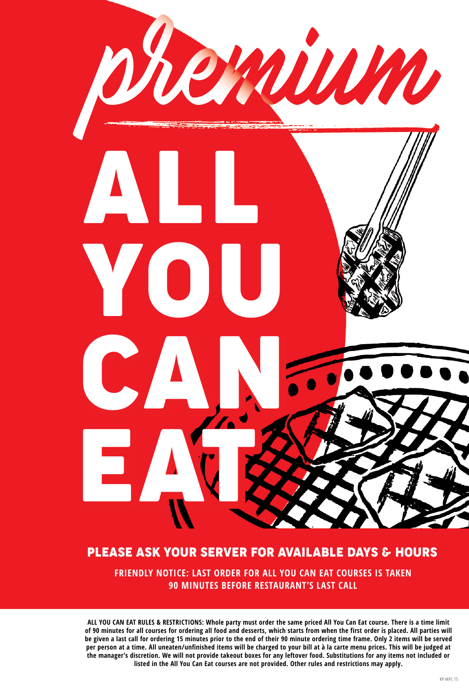

#### PLEASE ASK YOUR SERVER FOR AVAILABLE DAYS & HOURS

**FRIENDLY NOTICE: LAST ORDER FOR ALL YOU CAN EAT COURSES IS TAKEN 90 MINUTES BEFORE RESTAURANT'S LAST CALL**

**ALL YOU CAN EAT RULES & RESTRICTIONS: Whole party must order the same priced All You Can Eat course. There is a time limit of 90 minutes for all courses for ordering all food and desserts, which starts from when the first order is placed. All parties will be given a last call for ordering 15 minutes prior to the end of their 90 minute ordering time frame. Only 2 items will be served per person at a time. All uneaten/unfinished items will be charged to your bill at à la carte menu prices. This will be judged at the manager's discretion. We will not provide takeout boxes for any leftover food. Substitutions for any items not included or listed in the All You Can Eat courses are not provided. Other rules and restrictions may apply.**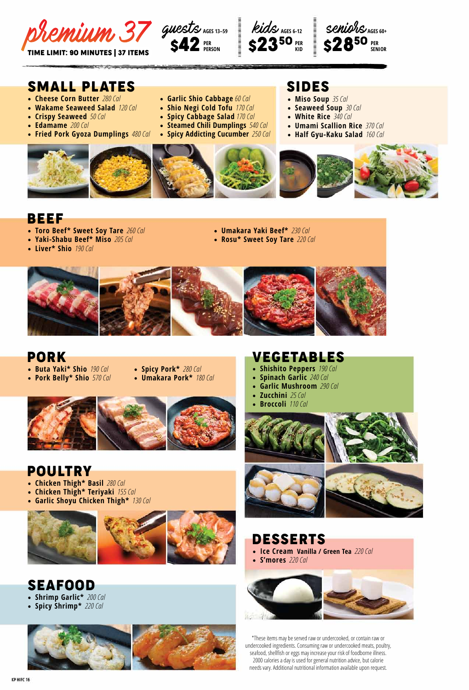

stein Albert





# SMALL PLATES SIDES

- • **Cheese Corn Butter** *280 Cal*
- • **Wakame Seaweed Salad** *120 Cal*
- • **Crispy Seaweed** *50 Cal*
- • **Edamame** *200 Cal*
- • **Fried Pork Gyoza Dumplings** *480 Cal*







- • **Miso Soup** *35 Cal*
- • **Seaweed Soup** *30 Cal*
- **White Rice** 340 Cal
- • **Umami Scallion Rice** *370 Cal*
- • **Half Gyu-Kaku Salad** *160 Cal*



#### BEEF

• **Liver\* Shio** *190 Cal*

- • **Toro Beef\* Sweet Soy Tare** *260 Cal* • **Yaki-Shabu Beef\* Miso** *205 Cal*
- • **Umakara Yaki Beef\*** *230 Cal*
- • **Rosu\* Sweet Soy Tare** *220 Cal*



• **Garlic Shio Cabbage** *60 Cal* • **Shio Negi Cold Tofu** *170 Cal*

#### PORK

- • **Buta Yaki\* Shio** *190 Cal*
- • **Pork Belly\* Shio** *570 Cal*
- • **Spicy Pork\*** *280 Cal*
- • **Umakara Pork\*** *180 Cal*



#### POULTRY

- • **Chicken Thigh\* Basil** *280 Cal*
- • **Chicken Thigh\* Teriyaki** *155 Cal*
- • **Garlic Shoyu Chicken Thigh\*** *130 Cal*



SEAFOOD

- • **Shrimp Garlic\*** *200 Cal*
- • **Spicy Shrimp\*** *220 Cal*



#### VEGETABLES

- • **Shishito Peppers** *190 Cal*
- • **Spinach Garlic** *240 Cal*
- • **Garlic Mushroom** *290 Cal*
- • **Zucchini** *25 Cal*
- • **Broccoli** *110 Cal*



# DESSERTS

- • **Ice Cream Vanilla / Green Tea** *220 Cal*
- • **S'mores** *220 Cal*



\*These items may be served raw or undercooked, or contain raw or undercooked ingredients. Consuming raw or undercooked meats, poultry, seafood, shellfish or eggs may increase your risk of foodborne illness. 2000 calories a day is used for general nutrition advice, but calorie needs vary. Additional nutritional information available upon request.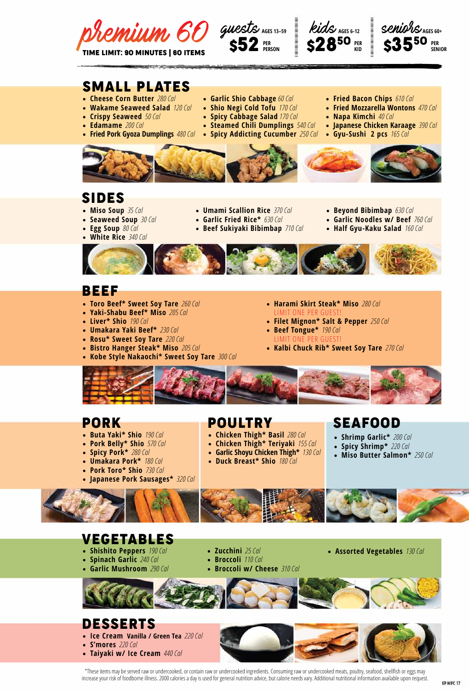





## SMALL PLATES

- • **Cheese Corn Butter** *280 Cal*
- • **Wakame Seaweed Salad** *120 Cal*
- • **Crispy Seaweed** *50 Cal*
- • **Edamame** *200 Cal*
- • **Fried Pork Gyoza Dumplings** *480 Cal* • **Spicy Addicting Cucumber** *250 Cal*
- • **Garlic Shio Cabbage** *60 Cal*
- • **Shio Negi Cold Tofu** *170 Cal*
- • **Spicy Cabbage Salad** *170 Cal*
- • **Steamed Chili Dumplings** *540 Cal*
	-
- • **Fried Bacon Chips** *610 Cal*
- • **Fried Mozzarella Wontons** *470 Cal*
- • **Napa Kimchi** *40 Cal*
- • **Japanese Chicken Karaage** *390 Cal*
- • **Gyu-Sushi 2 pcs** *165 Cal*



### SIDES

- • **Miso Soup** *35 Cal*
- • **Seaweed Soup** *30 Cal*
- • **Egg Soup** *80 Cal*
- **White Rice** 340 Cal
- • **Umami Scallion Rice** *370 Cal*
- • **Garlic Fried Rice\*** *630 Cal*
- • **Beef Sukiyaki Bibimbap** *710 Cal*
- • **Beyond Bibimbap** *630 Cal*
- • **Garlic Noodles w/ Beef** *760 Cal*
- • **Half Gyu-Kaku Salad** *160 Cal*



#### BEEF

- • **Toro Beef\* Sweet Soy Tare** *260 Cal*
- • **Yaki-Shabu Beef\* Miso** *205 Cal*
- • **Liver\* Shio** *190 Cal*
- • **Umakara Yaki Beef\*** *230 Cal*
- • **Rosu\* Sweet Soy Tare** *220 Cal*
- • **Bistro Hanger Steak\* Miso** *205 Cal*
- • **Kobe Style Nakaochi\* Sweet Soy Tare** *300 Cal*
- • **Harami Skirt Steak\* Miso** *280 Cal* LIMIT ONE PER GUEST!
- • **Filet Mignon\* Salt & Pepper** *250 Cal*
- • **Beef Tongue\*** *190 Cal* LIMIT ONE PER GUEST!
- • **Kalbi Chuck Rib\* Sweet Soy Tare** *270 Cal*



#### PORK

- • **Buta Yaki\* Shio** *190 Cal*
- • **Pork Belly\* Shio** *570 Cal*
- • **Spicy Pork\*** *280 Cal*
- • **Umakara Pork\*** *180 Cal*
- • **Pork Toro\* Shio** *730 Cal*
- • **Japanese Pork Sausages\*** *320 Cal*



- 
- • **Chicken Thigh\* Teriyaki** *155 Cal*
- • **Garlic Shoyu Chicken Thigh\*** *130 Cal*
- • **Duck Breast\* Shio** *180 Cal*

# POULTRY SEAFOOD • **Chicken Thigh\* Basil** *280 Cal*

- • **Shrimp Garlic\*** *200 Cal*
	- • **Spicy Shrimp\*** *220 Cal*
	- • **Miso Butter Salmon\*** *250 Cal*



# VEGETABLES

- • **Shishito Peppers** *190 Cal*
- • **Spinach Garlic** *240 Cal*
- • **Garlic Mushroom** *290 Cal*
- • **Zucchini** *25 Cal* • **Broccoli** *110 Cal*
- • **Broccoli w/ Cheese** *310 Cal*
- • **Assorted Vegetables** *130 Cal*
- 

#### DESSERTS

- • **Ice Cream Vanilla / Green Tea** *220 Cal*
- • **S'mores** *220 Cal*
- • **Taiyaki w/ Ice Cream** *440 Cal*